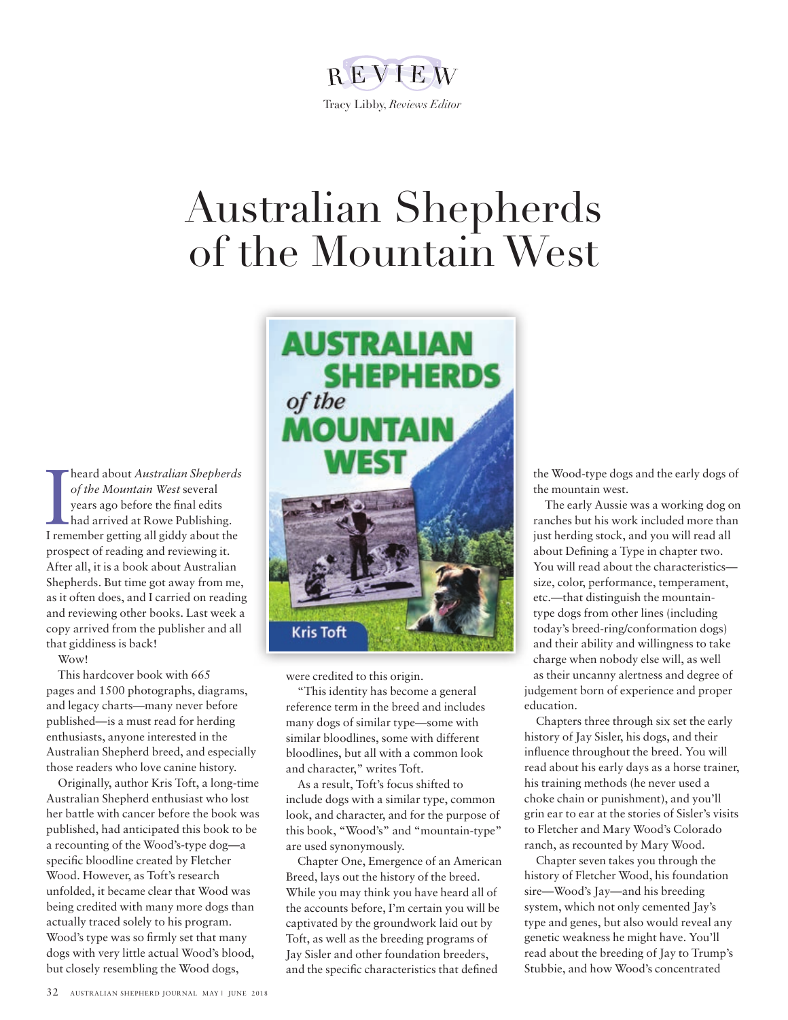# REVIEW Tracy Libby, *Reviews Editor*

# Australian Shepherds of the Mountain West

**I heard about Australian Shepherds**<br>
of the Mountain West several<br>
years ago before the final edits<br>
had arrived at Rowe Publishing.<br>
I remember getting all giddy about the heard about *Australian Shepherds of the Mountain West* several years ago before the final edits had arrived at Rowe Publishing. prospect of reading and reviewing it. After all, it is a book about Australian Shepherds. But time got away from me, as it often does, and I carried on reading and reviewing other books. Last week a copy arrived from the publisher and all that giddiness is back!

Wow!

This hardcover book with 665 pages and 1500 photographs, diagrams, and legacy charts—many never before published—is a must read for herding enthusiasts, anyone interested in the Australian Shepherd breed, and especially those readers who love canine history.

Originally, author Kris Toft, a long-time Australian Shepherd enthusiast who lost her battle with cancer before the book was published, had anticipated this book to be a recounting of the Wood's-type dog—a specific bloodline created by Fletcher Wood. However, as Toft's research unfolded, it became clear that Wood was being credited with many more dogs than actually traced solely to his program. Wood's type was so firmly set that many dogs with very little actual Wood's blood, but closely resembling the Wood dogs,



were credited to this origin.

"This identity has become a general reference term in the breed and includes many dogs of similar type—some with similar bloodlines, some with different bloodlines, but all with a common look and character," writes Toft.

As a result, Toft's focus shifted to include dogs with a similar type, common look, and character, and for the purpose of this book, "Wood's" and "mountain-type" are used synonymously.

Chapter One, Emergence of an American Breed, lays out the history of the breed. While you may think you have heard all of the accounts before, I'm certain you will be captivated by the groundwork laid out by Toft, as well as the breeding programs of Jay Sisler and other foundation breeders, and the specific characteristics that defined

the Wood-type dogs and the early dogs of the mountain west.

The early Aussie was a working dog on ranches but his work included more than just herding stock, and you will read all about Defining a Type in chapter two. You will read about the characteristics size, color, performance, temperament, etc.—that distinguish the mountaintype dogs from other lines (including today's breed-ring/conformation dogs) and their ability and willingness to take charge when nobody else will, as well as their uncanny alertness and degree of judgement born of experience and proper education.

Chapters three through six set the early history of Jay Sisler, his dogs, and their influence throughout the breed. You will read about his early days as a horse trainer, his training methods (he never used a choke chain or punishment), and you'll grin ear to ear at the stories of Sisler's visits to Fletcher and Mary Wood's Colorado ranch, as recounted by Mary Wood.

Chapter seven takes you through the history of Fletcher Wood, his foundation sire—Wood's Jay—and his breeding system, which not only cemented Jay's type and genes, but also would reveal any genetic weakness he might have. You'll read about the breeding of Jay to Trump's Stubbie, and how Wood's concentrated